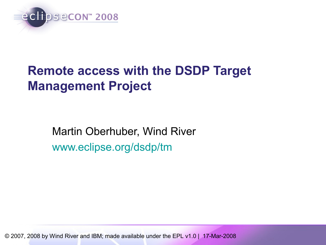

## **Remote access with the DSDP Target Management Project**

Martin Oberhuber, Wind River [www.eclipse.org/dsdp/tm](http://www.eclipse.org/dsdp/tm)

© 2007, 2008 by Wind River and IBM; made available under the EPL v1.0 | 17-Mar-2008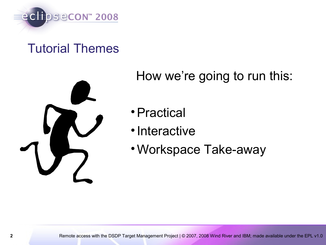

#### Tutorial Themes



#### How we're going to run this:

- •Practical
- •Interactive
- •Workspace Take-away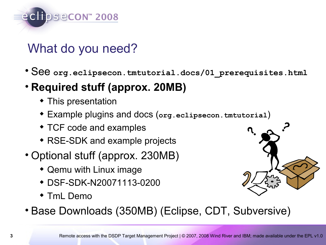

#### What do you need?

- See **org.eclipsecon.tmtutorial.docs/01\_prerequisites.html**
- **Required stuff (approx. 20MB)**
	- This presentation
	- Example plugins and docs (**org.eclipsecon.tmtutorial**)
	- TCF code and examples
	- RSE-SDK and example projects
- Optional stuff (approx. 230MB)
	- Qemu with Linux image
	- DSF-SDK-N20071113-0200
	- TmL Demo



• Base Downloads (350MB) (Eclipse, CDT, Subversive)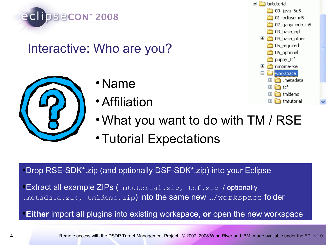

#### Interactive: Who are you?



- •Name
- •Affiliation



- •What you want to do with TM / RSE
- •Tutorial Expectations

Drop RSE-SDK\*.zip (and optionally DSF-SDK\*.zip) into your Eclipse

**Extract all example ZIPs** (tmtutorial.zip, tcf.zip / optionally .metadata.zip, tmldemo.zip) into the same new .../workspace folder

**Either** import all plugins into existing workspace, **or** open the new workspace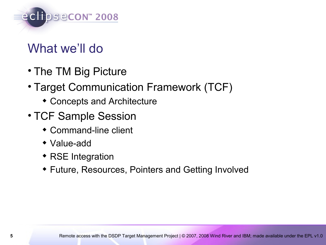

#### What we'll do

- The TM Big Picture
- Target Communication Framework (TCF)
	- Concepts and Architecture
- TCF Sample Session
	- Command-line client
	- Value-add
	- RSE Integration
	- Future, Resources, Pointers and Getting Involved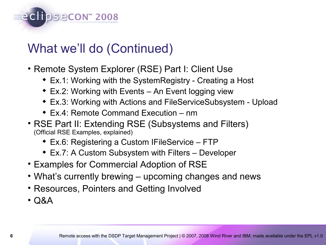## What we'll do (Continued)

eclipsecon<sup>®</sup> 2008

- Remote System Explorer (RSE) Part I: Client Use
	- Ex.1: Working with the SystemRegistry Creating a Host
	- Ex.2: Working with Events An Event logging view
	- Ex.3: Working with Actions and FileServiceSubsystem Upload
	- Ex.4: Remote Command Execution nm
- RSE Part II: Extending RSE (Subsystems and Filters) (Official RSE Examples, explained)
	- Ex.6: Registering a Custom IFileService FTP
	- Ex.7: A Custom Subsystem with Filters Developer
- Examples for Commercial Adoption of RSE
- What's currently brewing upcoming changes and news
- Resources, Pointers and Getting Involved
- Q&A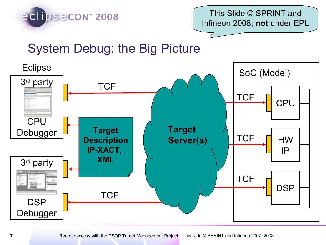

This Slide © SPRINT and Infineon 2008; **not** under EPL

## System Debug: the Big Picture

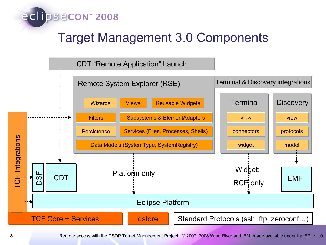

#### Target Management 3.0 Components



8 Remote access with the DSDP Target Management Project | © 2007, 2008 Wind River and IBM; made available under the EPL v1.0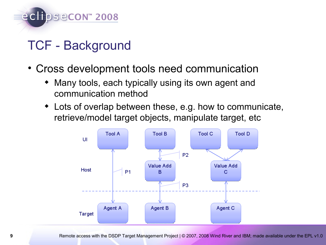

#### TCF - Background

- Cross development tools need communication
	- Many tools, each typically using its own agent and communication method
	- Lots of overlap between these, e.g. how to communicate, retrieve/model target objects, manipulate target, etc

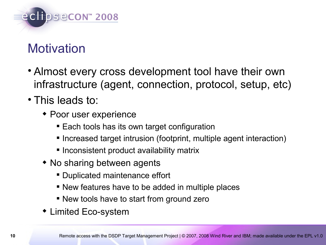

## **Motivation**

- Almost every cross development tool have their own infrastructure (agent, connection, protocol, setup, etc)
- This leads to:
	- Poor user experience
		- Each tools has its own target configuration
		- **Increased target intrusion (footprint, multiple agent interaction)**
		- **Inconsistent product availability matrix**
	- No sharing between agents
		- Duplicated maintenance effort
		- New features have to be added in multiple places
		- New tools have to start from ground zero
	- Limited Eco-system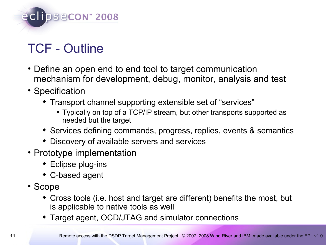

## TCF - Outline

- Define an open end to end tool to target communication mechanism for development, debug, monitor, analysis and test
- Specification
	- Transport channel supporting extensible set of "services"
		- Typically on top of a TCP/IP stream, but other transports supported as needed but the target
	- Services defining commands, progress, replies, events & semantics
	- Discovery of available servers and services
- Prototype implementation
	- Eclipse plug-ins
	- C-based agent
- Scope
	- Cross tools (i.e. host and target are different) benefits the most, but is applicable to native tools as well
	- Target agent, OCD/JTAG and simulator connections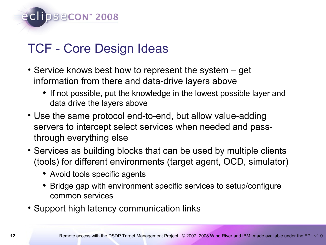

## TCF - Core Design Ideas

- Service knows best how to represent the system get information from there and data-drive layers above
	- If not possible, put the knowledge in the lowest possible layer and data drive the layers above
- Use the same protocol end-to-end, but allow value-adding servers to intercept select services when needed and passthrough everything else
- Services as building blocks that can be used by multiple clients (tools) for different environments (target agent, OCD, simulator)
	- Avoid tools specific agents
	- Bridge gap with environment specific services to setup/configure common services
- Support high latency communication links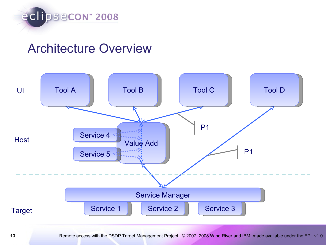

#### Architecture Overview



13 Remote access with the DSDP Target Management Project | © 2007, 2008 Wind River and IBM; made available under the EPL v1.0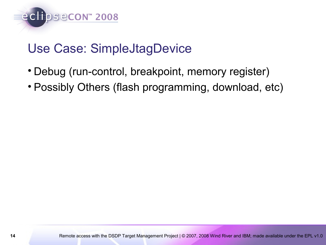

### Use Case: SimpleJtagDevice

- Debug (run-control, breakpoint, memory register)
- Possibly Others (flash programming, download, etc)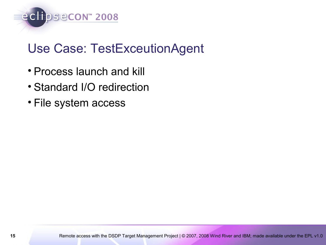

## Use Case: TestExceutionAgent

- Process launch and kill
- Standard I/O redirection
- File system access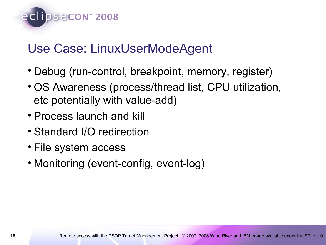

## Use Case: LinuxUserModeAgent

- Debug (run-control, breakpoint, memory, register)
- OS Awareness (process/thread list, CPU utilization, etc potentially with value-add)
- Process launch and kill
- Standard I/O redirection
- File system access
- Monitoring (event-config, event-log)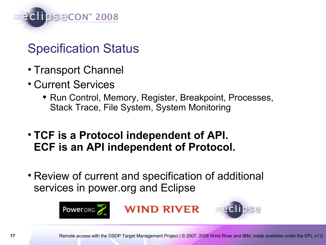

### Specification Status

- Transport Channel
- Current Services
	- Run Control, Memory, Register, Breakpoint, Processes, Stack Trace, File System, System Monitoring
- **TCF is a Protocol independent of API. ECF is an API independent of Protocol.**
- Review of current and specification of additional services in power.org and Eclipse

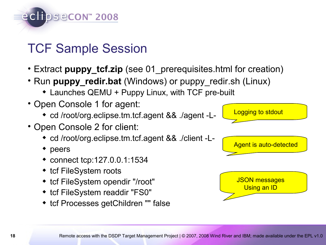

#### TCF Sample Session

- Extract **puppy\_tcf.zip** (see 01\_prerequisites.html for creation)
- Run **puppy\_redir.bat** (Windows) or puppy\_redir.sh (Linux)
	- Launches QEMU + Puppy Linux, with TCF pre-built
- Open Console 1 for agent:
	- cd /root/org.eclipse.tm.tcf.agent && ./agent -L-
- Open Console 2 for client:
	- cd /root/org.eclipse.tm.tcf.agent && ./client -L-
	- peers
	- connect tcp:127.0.0.1:1534
	- tcf FileSystem roots
	- tcf FileSystem opendir "/root"
	- tcf FileSystem readdir "FS0"
	- tcf Processes getChildren "" false

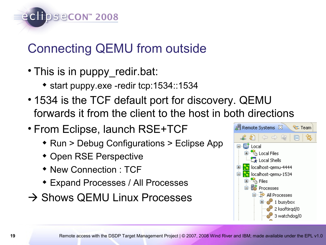eclipsecon<sup>®</sup> 2008

## Connecting QEMU from outside

- This is in puppy\_redir.bat:
	- start puppy.exe -redir tcp:1534::1534
- 1534 is the TCF default port for discovery. QEMU forwards it from the client to the host in both directions
- From Eclipse, launch RSE+TCF
	- ◆ Run > Debug Configurations > Eclipse App
	- Open RSE Perspective
	- New Connection : TCF
	- Expand Processes / All Processes
- $\rightarrow$  Shows QEMU Linux Processes

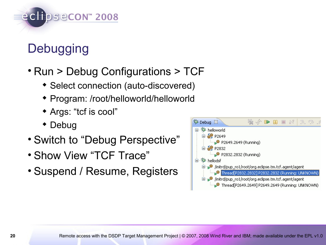

## **Debugging**

- Run > Debug Configurations > TCF
	- Select connection (auto-discovered)
	- Program: /root/helloworld/helloworld
	- Args: "tcf is cool"
	- Debug
- Switch to "Debug Perspective"
- Show View "TCF Trace"
- Suspend / Resume, Registers

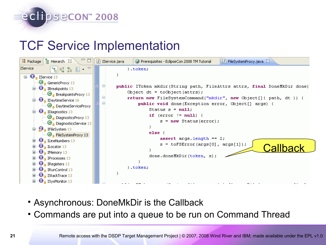# eclipsecon<sup>®</sup> 2008

#### TCF Service Implementation



- Asynchronous: DoneMkDir is the Callback
- Commands are put into a queue to be run on Command Thread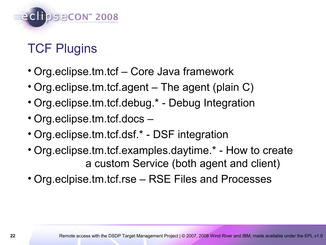

## TCF Plugins

- Org.eclipse.tm.tcf Core Java framework
- Org.eclipse.tm.tcf.agent The agent (plain C)
- Org.eclipse.tm.tcf.debug.\* Debug Integration
- Org.eclipse.tm.tcf.docs –
- Org.eclipse.tm.tcf.dsf.\* DSF integration
- Org.eclipse.tm.tcf.examples.daytime.\* How to create a custom Service (both agent and client)
- Org.eclpise.tm.tcf.rse RSE Files and Processes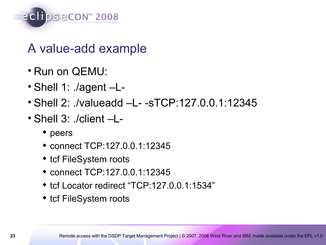

#### A value-add example

- Run on QEMU:
- Shell 1: ./agent –L-
- Shell 2: ./valueadd –L- -sTCP:127.0.0.1:12345
- Shell 3: ./client –L-
	- ◆ peers
	- connect TCP:127.0.0.1:12345
	- tcf FileSystem roots
	- connect TCP:127.0.0.1:12345
	- ◆ tcf Locator redirect "TCP:127.0.0.1:1534"
	- tcf FileSystem roots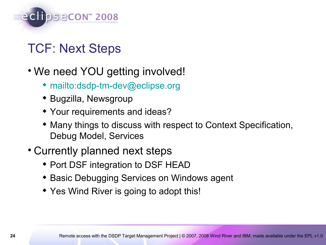

## TCF: Next Steps

- We need YOU getting involved!
	- ◆ <mailto:dsdp-tm-dev@eclipse.org>
	- ◆ Bugzilla, Newsgroup
	- Your requirements and ideas?
	- Many things to discuss with respect to Context Specification, Debug Model, Services
- Currently planned next steps
	- Port DSF integration to DSF HEAD
	- **\* Basic Debugging Services on Windows agent**
	- Yes Wind River is going to adopt this!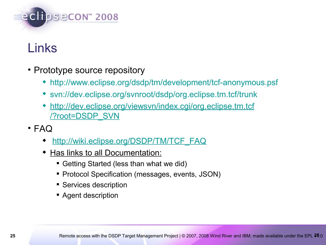

## Links

- Prototype source repository
	- <http://www.eclipse.org/dsdp/tm/development/tcf-anonymous.psf>
	- [svn://dev.eclipse.org/svnroot/dsdp/org.eclipse.tm.tcf/trunk](http://dev.eclipse.org/svnroot/dsdp/org.eclipse.tm.tcf/trunk)
	- [http://dev.eclipse.org/viewsvn/index.cgi/org.eclipse.tm.tcf](http://dev.eclipse.org/viewsvn/index.cgi/org.eclipse.tm.tcf/?root=DSDP_SVN) [/?root=DSDP\\_SVN](http://dev.eclipse.org/viewsvn/index.cgi/org.eclipse.tm.tcf/?root=DSDP_SVN)
- FAQ
	- [http://wiki.eclipse.org/DSDP/TM/TCF\\_FAQ](http://wiki.eclipse.org/DSDP/TM/TCF_FAQ)
	- Has links to all Documentation:
		- Getting Started (less than what we did)
		- **Protocol Specification (messages, events, JSON)**
		- **Services description**
		- **Agent description**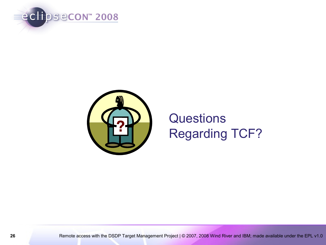



## **Questions** Regarding TCF?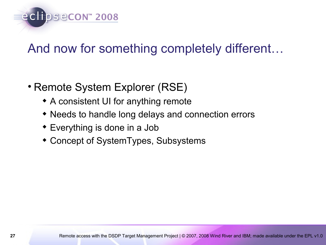

### And now for something completely different…

- Remote System Explorer (RSE)
	- A consistent UI for anything remote
	- Needs to handle long delays and connection errors
	- Everything is done in a Job
	- Concept of SystemTypes, Subsystems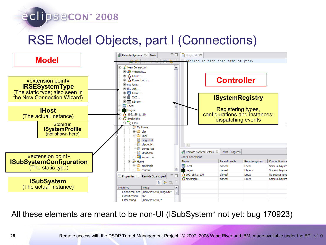## RSE Model Objects, part I (Connections)

eclipsecon<sup>®</sup> 2008



All these elements are meant to be non-UI (ISubSystem\* not yet: bug 170923)

**28** Remote access with the DSDP Target Management Project | © 2007, 2008 Wind River and IBM; made available under the EPL v1.0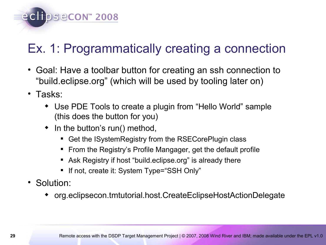

## Ex. 1: Programmatically creating a connection

- Goal: Have a toolbar button for creating an ssh connection to "build.eclipse.org" (which will be used by tooling later on)
- Tasks:
	- Use PDE Tools to create a plugin from "Hello World" sample (this does the button for you)
	- $\bullet$  In the button's run() method,
		- Get the ISystemRegistry from the RSECorePlugin class
		- **From the Registry's Profile Mangager, get the default profile**
		- Ask Registry if host "build.eclipse.org" is already there
		- If not, create it: System Type="SSH Only"
- Solution:
	- org.eclipsecon.tmtutorial.host.CreateEclipseHostActionDelegate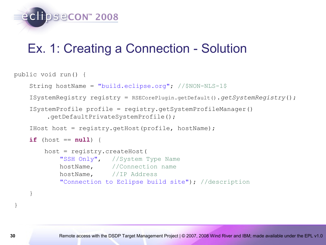

#### Ex. 1: Creating a Connection - Solution

```
public void run() { 
     String hostName = "build.eclipse.org"; //$NON-NLS-1$
     ISystemRegistry registry = RSECorePlugin.getDefault().getSystemRegistry();
     ISystemProfile profile = registry.getSystemProfileManager()
         .getDefaultPrivateSystemProfile();
     IHost host = registry.getHost(profile, hostName);
    if (host == null) {
         host = registry.createHost(
             "SSH Only", //System Type Name
             hostName, //Connection name
             hostName, //IP Address
             "Connection to Eclipse build site"); //description
 }
```
}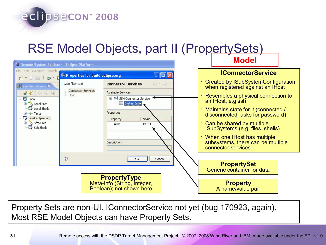#### RSE Model Objects, part II (PropertySets)

eclipsecon<sup>®</sup> 2008



Property Sets are non-UI. IConnectorService not yet (bug 170923, again). Most RSE Model Objects can have Property Sets.

**31** Remote access with the DSDP Target Management Project | © 2007, 2008 Wind River and IBM; made available under the EPL v1.0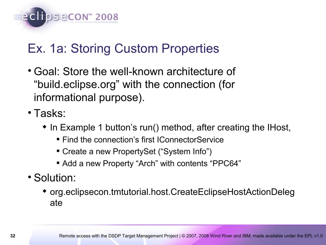

## Ex. 1a: Storing Custom Properties

- Goal: Store the well-known architecture of "build.eclipse.org" with the connection (for informational purpose).
- Tasks:
	- In Example 1 button's run() method, after creating the IHost,
		- **Find the connection's first IConnectorService**
		- Create a new PropertySet ("System Info")
		- Add a new Property "Arch" with contents "PPC64"
- Solution:
	- org.eclipsecon.tmtutorial.host.CreateEclipseHostActionDeleg ate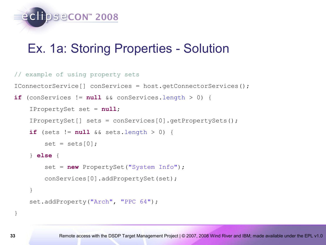

#### Ex. 1a: Storing Properties - Solution

```
// example of using property sets
IConnectorService[] conServices = host.getConnectorServices();
if (conServices != null && conServices.length > 0) {
     IPropertySet set = null;
     IPropertySet[] sets = conServices[0].getPropertySets();
    if (sets != null && sets.length > 0) {
        set = sets[0];
     } else {
        set = new PropertySet("System Info");
         conServices[0].addPropertySet(set);
     }
    set.addProperty("Arch", "PPC 64");
```
}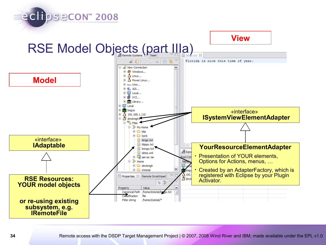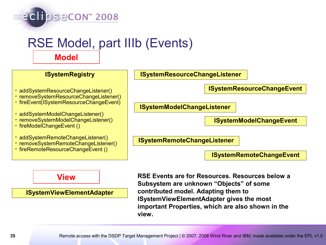## RSE Model, part IIIb (Events)

**Model**

#### **ISystemRegistry**

eclipsecon<sup>®</sup> 2008

- addSystemResourceChangeListener()
- removeSystemResourceChangeListener()
- fireEvent(ISystemResourceChangeEvent)
- addSystemModelChangeListener()
- removeSystemModelChangeListener()
- fireModelChangeEvent ()
- addSystemRemoteChangeListener()
- removeSystemRemoteChangeListener()
- fireRemoteResourceChangeEvent ()

#### **ISystemResourceChangeListener**

**ISystemResourceChangeEvent**

**ISystemModelChangeListener**

**ISystemModelChangeEvent**

**ISystemRemoteChangeListener**

**ISystemRemoteChangeEvent**

#### **View**

**ISystemViewElementAdapter**

**RSE Events are for Resources. Resources below a Subsystem are unknown "Objects" of some contributed model. Adapting them to ISystemViewElementAdapter gives the most important Properties, which are also shown in the view.**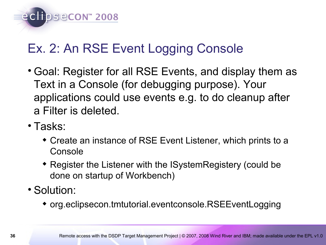eclipsecon<sup>®</sup> 2008

## Ex. 2: An RSE Event Logging Console

- Goal: Register for all RSE Events, and display them as Text in a Console (for debugging purpose). Your applications could use events e.g. to do cleanup after a Filter is deleted.
- Tasks:
	- Create an instance of RSE Event Listener, which prints to a **Console**
	- Register the Listener with the ISystemRegistery (could be done on startup of Workbench)
- Solution:
	- org.eclipsecon.tmtutorial.eventconsole.RSEEventLogging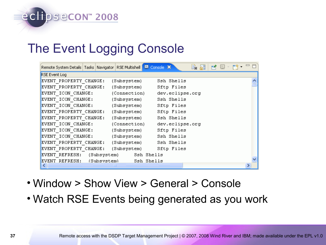## eclipsecon<sup>®</sup> 2008

## The Event Logging Console

| Remote System Details   Tasks   Navigator   RSE Multishell   E Console X |              | e. ai           | $\Box$<br>BI DI DÎ L |
|--------------------------------------------------------------------------|--------------|-----------------|----------------------|
| RSE Event Log                                                            |              |                 |                      |
| EVENT PROPERTY CHANGE:                                                   | (Subsystem)  | Ssh Shells      |                      |
| EVENT PROPERTY CHANGE:                                                   | (Subsystem)  | Sftp Files      |                      |
| EVENT ICON CHANGE:                                                       | (Connection) | dev.eclipse.org |                      |
| EVENT ICON CHANGE:                                                       | (Subsystem)  | Ssh Shells      |                      |
| EVENT ICON CHANGE:                                                       | (Subsystem)  | Sftp Files      |                      |
| EVENT PROPERTY CHANGE:                                                   | (Subsystem)  | Sftp Files      |                      |
| EVENT PROPERTY CHANGE:                                                   | (Subsystem)  | Ssh Shells      |                      |
| EVENT ICON CHANGE:                                                       | (Connection) | dev.eclipse.org |                      |
| EVENT ICON CHANGE:                                                       | (Subsystem)  | Sftp Files      |                      |
| EVENT ICON CHANGE:                                                       | (Subsystem)  | Ssh Shells      |                      |
| EVENT PROPERTY CHANGE:                                                   | (Subsystem)  | Ssh Shells      |                      |
| EVENT PROPERTY CHANGE:                                                   | (Subsystem)  | Sftp Files      |                      |
| EVENT REFRESH: (Subsystem)                                               |              | Ssh Shells      |                      |
| EVENT REFRESH:<br>(Subsvstem)                                            |              | Ssh Shells      |                      |
|                                                                          |              |                 |                      |

- Window > Show View > General > Console
- Watch RSE Events being generated as you work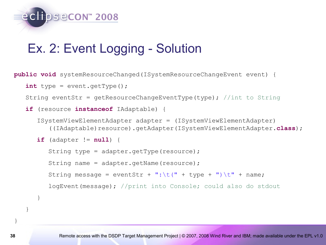

#### Ex. 2: Event Logging - Solution

**public void** systemResourceChanged(ISystemResourceChangeEvent event) {

```
int type = event.getType();
```
String eventStr = getResourceChangeEventType(type); //int to String

```
 if (resource instanceof IAdaptable) {
```

```
 ISystemViewElementAdapter adapter = (ISystemViewElementAdapter)
    ((IAdaptable)resource).getAdapter(ISystemViewElementAdapter.class);
```

```
 if (adapter != null) {
```

```
String type = adapter.getType(resource);
 String name = adapter.getName(resource);
String message = eventStr + ":\t(" + type + ")\t" + name;
 logEvent(message); //print into Console; could also do stdout
```
}

}

}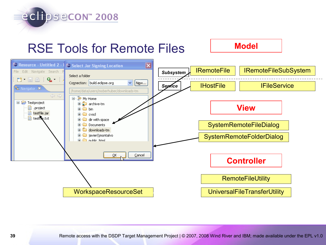

#### RSE Tools for Remote Files **Model**



**39** Remote access with the DSDP Target Management Project | © 2007, 2008 Wind River and IBM; made available under the EPL v1.0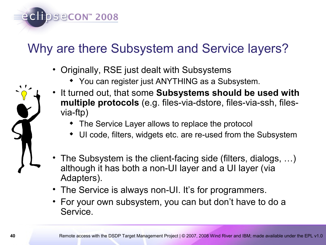

## Why are there Subsystem and Service layers?

- Originally, RSE just dealt with Subsystems
	- You can register just ANYTHING as a Subsystem.
- It turned out, that some **Subsystems should be used with multiple protocols** (e.g. files-via-dstore, files-via-ssh, filesvia-ftp)
	- The Service Layer allows to replace the protocol
	- UI code, filters, widgets etc. are re-used from the Subsystem
- The Subsystem is the client-facing side (filters, dialogs, …) although it has both a non-UI layer and a UI layer (via Adapters).
- The Service is always non-UI. It's for programmers.
- For your own subsystem, you can but don't have to do a Service.

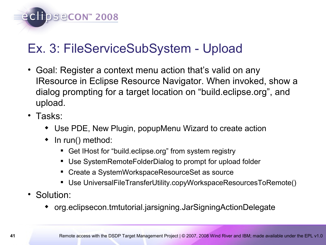

## Ex. 3: FileServiceSubSystem - Upload

- Goal: Register a context menu action that's valid on any IResource in Eclipse Resource Navigator. When invoked, show a dialog prompting for a target location on "build.eclipse.org", and upload.
- Tasks:
	- Use PDE, New Plugin, popupMenu Wizard to create action
	- $\bullet$  In run() method:
		- Get IHost for "build.eclipse.org" from system registry
		- Use SystemRemoteFolderDialog to prompt for upload folder
		- Create a SystemWorkspaceResourceSet as source
		- Use UniversalFileTransferUtility.copyWorkspaceResourcesToRemote()
- Solution:
	- org.eclipsecon.tmtutorial.jarsigning.JarSigningActionDelegate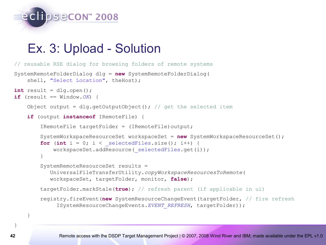

#### Ex. 3: Upload - Solution

```
// reusable RSE dialog for browsing folders of remote systems
SystemRemoteFolderDialog dlg = new SystemRemoteFolderDialog(
    shell, "Select Location", the Host);
int result = d1q.open();
if (result == Window.OK) {
   Object output = dlg.getOutputObject(); // get the selected item
     if (output instanceof IRemoteFile) {
        IRemoteFile targetFolder = (IRemoteFile)output;
        SystemWorkspaceResourceSet workspaceSet = new SystemWorkspaceResourceSet();
        for (int i = 0; i < selectedFiles.size(); i++) {
            workspaceSet.addResource(selectedFiles.get(i));
 }
         SystemRemoteResourceSet results =
           UniversalFileTransferUtility.copyWorkspaceResourcesToRemote(
           workspaceSet, targetFolder, monitor, false);
         targetFolder.markStale(true); // refresh parent (if applicable in ui)
         registry.fireEvent(new SystemResourceChangeEvent(targetFolder, // fire refresh
              ISystemResourceChangeEvents.EVENT_REFRESH, targetFolder));
```
}

}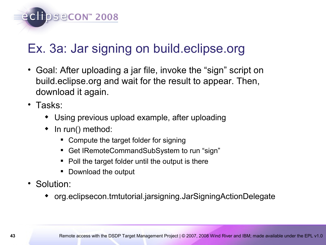

## Ex. 3a: Jar signing on build.eclipse.org

- Goal: After uploading a jar file, invoke the "sign" script on build.eclipse.org and wait for the result to appear. Then, download it again.
- Tasks:
	- Using previous upload example, after uploading
	- $\bullet$  In run() method:
		- Compute the target folder for signing
		- Get IRemoteCommandSubSystem to run "sign"
		- Poll the target folder until the output is there
		- Download the output
- Solution:
	- org.eclipsecon.tmtutorial.jarsigning.JarSigningActionDelegate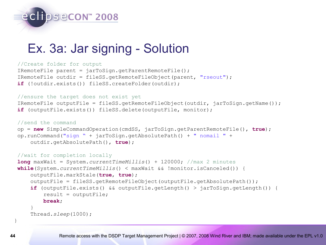

#### Ex. 3a: Jar signing - Solution

#### //Create folder for output

```
IRemoteFile parent = jarToSign.getParentRemoteFile();
IRemoteFile outdir = fileSS.getRemoteFileObject(parent, "rseout");
if (!outdir.exists()) fileSS.createFolder(outdir);
```
#### //ensure the target does not exist yet

```
IRemoteFile outputFile = fileSS.getRemoteFileObject(outdir, jarToSign.getName());
if (outputFile.exists()) fileSS.delete(outputFile, monitor);
```

```
//send the command
op = new SimpleCommandOperation(cmdSS, jarToSign.getParentRemoteFile(), true);
```

```
op.runCommand("sign " + jarToSign.getAbsolutePath() + " nomail " +
     outdir.getAbsolutePath(), true);
```

```
//wait for completion locally
long maxWait = System.currentTimeMillis() + 120000; //max 2 minutes
while(System.currentTimeMillis() < maxWait && !monitor.isCanceled()) {
     outputFile.markStale(true, true);
     outputFile = fileSS.getRemoteFileObject(outputFile.getAbsolutePath());
     if (outputFile.exists() && outputFile.getLength() > jarToSign.getLength()) {
         result = outputFile;
         break;
 }
     Thread.sleep(1000);
```
}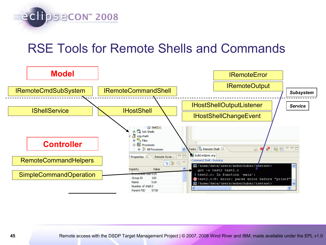

### RSE Tools for Remote Shells and Commands

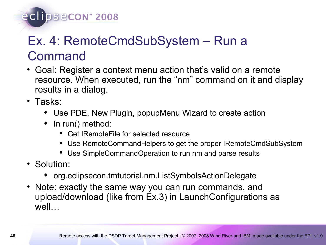#### eclipsecon<sup>®</sup> 2008

## Ex. 4: RemoteCmdSubSystem – Run a Command

- Goal: Register a context menu action that's valid on a remote resource. When executed, run the "nm" command on it and display results in a dialog.
- Tasks:
	- Use PDE, New Plugin, popupMenu Wizard to create action
	- $\bullet$  In run() method:
		- Get IRemoteFile for selected resource
		- Use RemoteCommandHelpers to get the proper IRemoteCmdSubSystem
		- Use SimpleCommandOperation to run nm and parse results
- Solution:
	- org.eclipsecon.tmtutorial.nm.ListSymbolsActionDelegate
- Note: exactly the same way you can run commands, and upload/download (like from Ex.3) in LaunchConfigurations as well…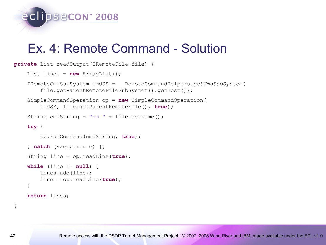

#### Ex. 4: Remote Command - Solution

```
private List readOutput(IRemoteFile file) {
    List lines = new ArrayList();
     IRemoteCmdSubSystem cmdSS = RemoteCommandHelpers.getCmdSubSystem(
        file.getParentRemoteFileSubSystem().getHost());
     SimpleCommandOperation op = new SimpleCommandOperation(
         cmdSS, file.getParentRemoteFile(), true);
    String cmdString = "nm " + file.getName();
     try {
         op.runCommand(cmdString, true);
     } catch (Exception e) {} 
     String line = op.readLine(true);
     while (line != null) {
         lines.add(line);
         line = op.readLine(true);
     }
     return lines;
```
}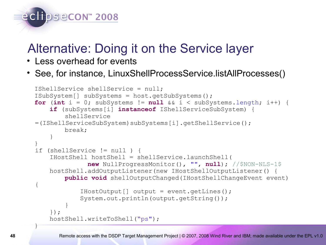#### Alternative: Doing it on the Service layer

• Less overhead for events

eclipsecon<sup>®</sup> 2008

• See, for instance, LinuxShellProcessService.listAllProcesses()

```
 IShellService shellService = null;
  ISubSystem[] subSystems = host.getSubSystems();
 for (int i = 0; subSystems != null &i \leq subSystems. length; i++) {
      if (subSystems[i] instanceof IShellServiceSubSystem) {
           shellService 
 =(IShellServiceSubSystem)subSystems[i].getShellService();
          break;
 }
   }
 if (shellService != null ) {
       IHostShell hostShell = shellService.launchShell(
                 new NullProgressMonitor(), "", null); //$NON-NLS-1$
      hostShell.addOutputListener(new IHostShellOutputListener() {
          public void shellOutputChanged(IHostShellChangeEvent event) 
  {
               IHostOutput[] output = event.getLines();
               System.out.println(output.getString());
 }
       });
     hostShell.writeToShell("ps");
 }
```
**48** Remote access with the DSDP Target Management Project | © 2007, 2008 Wind River and IBM; made available under the EPL v1.0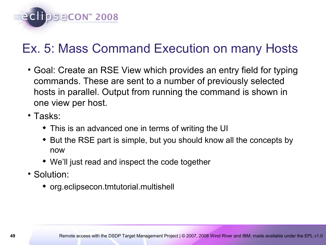

## Ex. 5: Mass Command Execution on many Hosts

- Goal: Create an RSE View which provides an entry field for typing commands. These are sent to a number of previously selected hosts in parallel. Output from running the command is shown in one view per host.
- Tasks:
	- This is an advanced one in terms of writing the UI
	- But the RSE part is simple, but you should know all the concepts by now
	- We'll just read and inspect the code together
- Solution:
	- org.eclipsecon.tmtutorial.multishell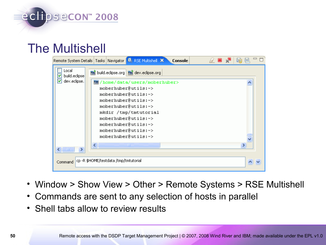#### The Multishell

|                              | Remote System Details   Tasks   Navigator   R. RSE Multishell   X<br>Console |  |  |  |  |  |
|------------------------------|------------------------------------------------------------------------------|--|--|--|--|--|
| Local<br>build.eclipse<br>lv | n <sup>3</sup> build.eclipse.org n <sup>3</sup> dev.eclipse.org              |  |  |  |  |  |
| dev.eclipse.                 | /home/data/users/moberhuber>                                                 |  |  |  |  |  |
|                              | moberhuber@utils:~>                                                          |  |  |  |  |  |
|                              | moberhuber@utils:~>                                                          |  |  |  |  |  |
|                              | moberhuber@utils:~>                                                          |  |  |  |  |  |
|                              | moberhuber@utils:~>                                                          |  |  |  |  |  |
|                              | mkdir /tmp/tmtutorial                                                        |  |  |  |  |  |
|                              | moberhuber@utils:~>                                                          |  |  |  |  |  |
|                              | moberhuber@utils:~>                                                          |  |  |  |  |  |
|                              | moberhuber@utils:~><br>moberhuber@utils:~>                                   |  |  |  |  |  |
|                              |                                                                              |  |  |  |  |  |
|                              | <b>TITL</b><br>⋟<br>к                                                        |  |  |  |  |  |
| Command                      | cp -R \$HOME/testdata /tmp/tmtutorial                                        |  |  |  |  |  |

- Window > Show View > Other > Remote Systems > RSE Multishell
- Commands are sent to any selection of hosts in parallel
- Shell tabs allow to review results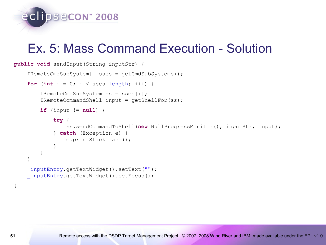

#### Ex. 5: Mass Command Execution - Solution

```
public void sendInput(String inputStr) {
     IRemoteCmdSubSystem[] sses = getCmdSubSystems();
    for (int i = 0; i < s sses.length; i++) {
         IRemoteCmdSubSystem ss = sses[i];
         IRemoteCommandShell input = getShellFor(ss);
         if (input != null) {
             try {
                ss.sendCommandToShell(new NullProgressMonitor(), inputStr, input);
             } catch (Exception e) {
                 e.printStackTrace();
 }
 }
 }
      _inputEntry.getTextWidget().setText("");
     _inputEntry.getTextWidget().setFocus();
}
```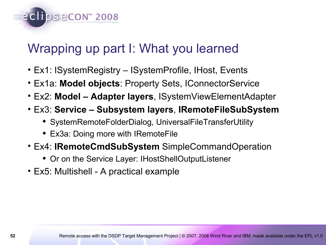### Wrapping up part I: What you learned

- Ex1: ISystemRegistry ISystemProfile, IHost, Events
- Ex1a: **Model objects**: Property Sets, IConnectorService
- Ex2: **Model Adapter layers**, ISystemViewElementAdapter
- Ex3: **Service Subsystem layers**, **IRemoteFileSubSystem**
	- SystemRemoteFolderDialog, UniversalFileTransferUtility
	- Ex3a: Doing more with IRemoteFile

eclipsecon<sup>®</sup> 2008

- Ex4: **IRemoteCmdSubSystem** SimpleCommandOperation
	- Or on the Service Layer: IHostShellOutputListener
- Ex5: Multishell A practical example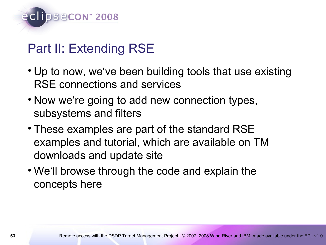

## Part II: Extending RSE

- Up to now, we've been building tools that use existing RSE connections and services
- Now we're going to add new connection types, subsystems and filters
- These examples are part of the standard RSE examples and tutorial, which are available on TM downloads and update site
- We'll browse through the code and explain the concepts here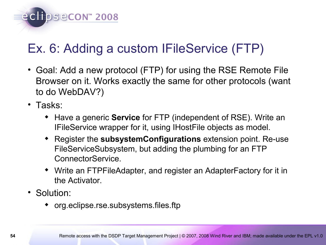eclipsecon<sup>®</sup> 2008

## Ex. 6: Adding a custom IFileService (FTP)

- Goal: Add a new protocol (FTP) for using the RSE Remote File Browser on it. Works exactly the same for other protocols (want to do WebDAV?)
- Tasks:
	- Have a generic **Service** for FTP (independent of RSE). Write an IFileService wrapper for it, using IHostFile objects as model.
	- Register the **subsystemConfigurations** extension point. Re-use FileServiceSubsystem, but adding the plumbing for an FTP ConnectorService.
	- Write an FTPFileAdapter, and register an AdapterFactory for it in the Activator.
- Solution:
	- org.eclipse.rse.subsystems.files.ftp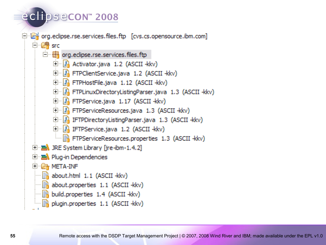#### eclipsecon<sup>®</sup> 2008

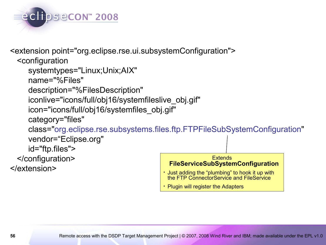

<extension point="org.eclipse.rse.ui.subsystemConfiguration"> <configuration systemtypes="Linux;Unix;AIX" name="%Files" description="%FilesDescription" iconlive="icons/full/obj16/systemfileslive\_obj.gif" icon="icons/full/obj16/systemfiles\_obj.gif" category="files" class="org.eclipse.rse.subsystems.files.ftp.FTPFileSubSystemConfiguration" vendor="Eclipse.org" id="ftp.files"> </configuration> </extension> **Extends FileServiceSubSystemConfiguration** • Just adding the "plumbing" to hook it up with the FTP ConnectorService and FileService

• Plugin will register the Adapters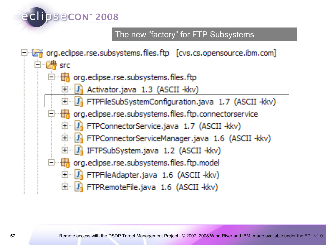#### The new "factory" for FTP Subsystems $\Box$  org.edipse.rse.subsystems.files.ftp [cvs.cs.opensource.ibm.com] 白·*健* src org.edipse.rse.subsystems.files.ftp  $\mathbb{F}_n$  Activator java 1.3 (ASCII - kkv) 界 FTPFileSubSystemConfiguration.java 1.7 (ASCII -kkv) org.edipse.rse.subsystems.files.ftp.connectorservice ·· <mark>내</mark> FTPConnectorService.java 1.7 (ASCII -kkv)  $\Box$  **P** FTPConnectorServiceManager.java 1.6 (ASCII -kkv) □ <mark>い</mark> IFTPSubSystem.java 1.2 (ASCII -kkv)  $\Box$   $\Box$  org.eclipse.rse.subsystems.files.ftp.model 中 L<mark>I</mark> FTPFileAdapter.java 1.6 (ASCII -kkv) 白 R FTPRemoteFile.java 1.6 (ASCII -kkv)

eclipsecon<sup>®</sup> 2008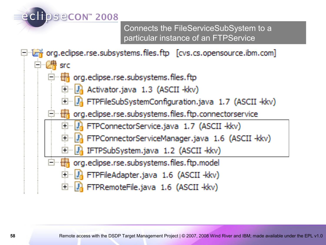#### eclipsecon<sup>®</sup> 2008

Connects the FileServiceSubSystem to a particular instance of an FTPService

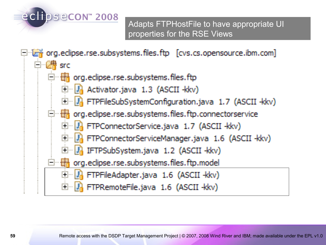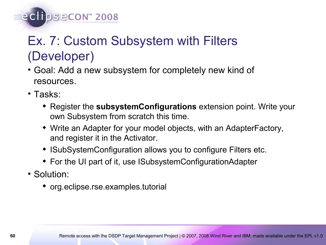## Ex. 7: Custom Subsystem with Filters (Developer)

- Goal: Add a new subsystem for completely new kind of resources.
- Tasks:

eclipsecon<sup>®</sup> 2008

- Register the **subsystemConfigurations** extension point. Write your own Subsystem from scratch this time.
- Write an Adapter for your model objects, with an AdapterFactory, and register it in the Activator.
- ISubSystemConfiguration allows you to configure Filters etc.
- For the UI part of it, use ISubsystemConfigurationAdapter
- Solution:
	- org.eclipse.rse.examples.tutorial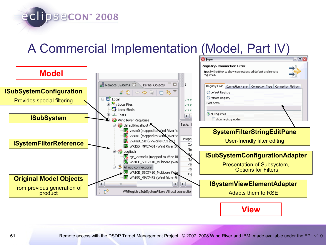A Commercial Implementation (Model, Part IV)

eclipsecon<sup>®</sup> 2008



**View**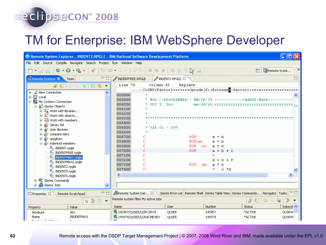#### eclipsecon<sup>®</sup> 2008

#### TM for Enterprise: IBM WebSphere Developer

| <sup>©</sup> Remote System Explorer - INDENT2.RPGLE - IBM Rational Software Development Platform                                                                                                                                                                                                                                                                                |                                                                             |                                                                                               |              |                |               |  |  |  |  |
|---------------------------------------------------------------------------------------------------------------------------------------------------------------------------------------------------------------------------------------------------------------------------------------------------------------------------------------------------------------------------------|-----------------------------------------------------------------------------|-----------------------------------------------------------------------------------------------|--------------|----------------|---------------|--|--|--|--|
| File Edit Source Compile Navigate Search Project Run Window Help                                                                                                                                                                                                                                                                                                                |                                                                             |                                                                                               |              |                |               |  |  |  |  |
| <b>ð. ; ; ; • 0 · 0 · 0 · √ / ⊹ ← → ←</b> √ ⊘ ↔   ∞ ►   ∆ ∄ ፣ ⊠ ଲ                                                                                                                                                                                                                                                                                                               |                                                                             |                                                                                               |              | E Remote Syste | $\rightarrow$ |  |  |  |  |
| $\Box$<br>Remote Systems X<br>Team                                                                                                                                                                                                                                                                                                                                              | INDENTFREE.RPGLE                                                            | INDENT2.RPGLE 23                                                                              |              |                | 目             |  |  |  |  |
| $\begin{picture}(150,10) \put(0,0){\line(1,0){10}} \put(15,0){\line(1,0){10}} \put(15,0){\line(1,0){10}} \put(15,0){\line(1,0){10}} \put(15,0){\line(1,0){10}} \put(15,0){\line(1,0){10}} \put(15,0){\line(1,0){10}} \put(15,0){\line(1,0){10}} \put(15,0){\line(1,0){10}} \put(15,0){\line(1,0){10}} \put(15,0){\line(1,0){10}} \put(15,0){\line($<br>$\overline{\phantom{a}}$ | Line 70<br>Column 43<br>Replace                                             |                                                                                               |              |                |               |  |  |  |  |
| <b>⊞</b> <sup>2</sup> New Connection                                                                                                                                                                                                                                                                                                                                            | CLONO1Factor1++++++++Opcode(E)+Extendea-factor2++++++++++++++++++++++++++++ |                                                                                               |              |                |               |  |  |  |  |
|                                                                                                                                                                                                                                                                                                                                                                                 | 005800                                                                      |                                                                                               |              |                |               |  |  |  |  |
| 画質 Local<br>画體 My System i Connection                                                                                                                                                                                                                                                                                                                                           | 005900<br>* MOD --PROGRAMMER-- MM/DD/YY ------------CHANGE-MADE-            |                                                                                               |              |                |               |  |  |  |  |
| <b>晶 iSeries Objects</b>                                                                                                                                                                                                                                                                                                                                                        | 006000<br>* 001 X. Xxx                                                      |                                                                                               |              |                |               |  |  |  |  |
| $\mathbb{H}^{\cdot\cdot\cdot}\mathbb{A}^{\cdot\cdot\cdot}_{\mathbb{R}}$ Work with libraries                                                                                                                                                                                                                                                                                     | 006100                                                                      |                                                                                               |              |                |               |  |  |  |  |
| 由 25 Work with objects                                                                                                                                                                                                                                                                                                                                                          | 006200                                                                      |                                                                                               |              |                |               |  |  |  |  |
| 由 26 Work with members                                                                                                                                                                                                                                                                                                                                                          | 006300                                                                      |                                                                                               |              |                |               |  |  |  |  |
| 由 2 Library list                                                                                                                                                                                                                                                                                                                                                                | 006400<br>006500<br>* VAR $01 -$ DOU                                        |                                                                                               |              |                |               |  |  |  |  |
| <b>⊞</b> ਦੇ User libraries                                                                                                                                                                                                                                                                                                                                                      | 006600                                                                      |                                                                                               |              |                |               |  |  |  |  |
| i compare mbrs                                                                                                                                                                                                                                                                                                                                                                  | 006700                                                                      | <b>DOU</b>                                                                                    | $a = b$      |                |               |  |  |  |  |
| 由 arpglesrc                                                                                                                                                                                                                                                                                                                                                                     | 006800                                                                      | DOU(m)                                                                                        | $a = b$      |                |               |  |  |  |  |
| indented members                                                                                                                                                                                                                                                                                                                                                                | 006900                                                                      | $DOU$ $(r)$                                                                                   | $a = b$      |                |               |  |  |  |  |
| $\mathbb{G}_{\text{B}}$ INDENT.rpgle                                                                                                                                                                                                                                                                                                                                            | 007000<br>C                                                                 | <b>DOU</b>                                                                                    | $a + b + c$  |                |               |  |  |  |  |
| <b>O<sub>n</sub></b> INDENTFREE.rpgle<br><b>O<sub>B</sub></b> INDENTMAX1.rpgle                                                                                                                                                                                                                                                                                                  | 007100<br>C                                                                 |                                                                                               |              |                |               |  |  |  |  |
| <sup>C</sup> <sub>n</sub> INDENTMAX2.rpgle                                                                                                                                                                                                                                                                                                                                      | 007200                                                                      |                                                                                               | d + e + f    |                |               |  |  |  |  |
| <sup>O</sup> n INDENT2.rpgle                                                                                                                                                                                                                                                                                                                                                    | 007300                                                                      | <b>DOU</b>                                                                                    | a * b<br>(m) |                |               |  |  |  |  |
| <sup>0</sup> INDENTS.rpgle                                                                                                                                                                                                                                                                                                                                                      | 007400<br>Ċ                                                                 |                                                                                               | e *d<br>$=$  |                |               |  |  |  |  |
| <b>G</b> INDENT6.rpgle                                                                                                                                                                                                                                                                                                                                                          | ≺                                                                           | $-100$                                                                                        |              |                |               |  |  |  |  |
| 由 · 电 iSeries Commands                                                                                                                                                                                                                                                                                                                                                          |                                                                             |                                                                                               |              |                |               |  |  |  |  |
| iSeries Jobs                                                                                                                                                                                                                                                                                                                                                                    |                                                                             |                                                                                               |              |                |               |  |  |  |  |
| 一日<br><b>E</b> Properties 23<br>Remote Scratchpad                                                                                                                                                                                                                                                                                                                               | Remote System Det &                                                         | iSeries Error List   Remote Shell   iSeries Table View   iSeries Commands   Navigator   Tasks |              |                | 中日            |  |  |  |  |
| Remote system filter My active jobs<br>∌▼<br>58<br>$\Leftrightarrow$ $\Leftrightarrow$<br>日常国▼<br>ھا                                                                                                                                                                                                                                                                            |                                                                             |                                                                                               |              |                |               |  |  |  |  |
| Value<br>Property                                                                                                                                                                                                                                                                                                                                                               | Name                                                                        | User                                                                                          | Number       | Status         | Subsyst <     |  |  |  |  |
| Attribute<br><b>SRC</b>                                                                                                                                                                                                                                                                                                                                                         | <b>图 145957/QUSER/QZRCSRVS</b>                                              | QUSER                                                                                         | 145957       | *ACTIVE        | <b>QUSRW</b>  |  |  |  |  |
| INDENTMAX1<br>Name<br>$\mathbf{0}$ is a small single $\mathbf{0}$ of the field of the $\mathbf{0}$<br>$\sim$                                                                                                                                                                                                                                                                    | State 145974/QUSER/QJVACMDSRV                                               | QUSER                                                                                         | 145974       | *ACTIVE        | QUSRW         |  |  |  |  |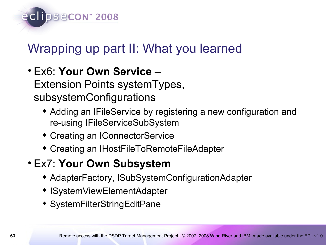

## Wrapping up part II: What you learned

- Ex6: **Your Own Service**  Extension Points systemTypes, subsystemConfigurations
	- Adding an IFileService by registering a new configuration and re-using IFileServiceSubSystem
	- Creating an IConnectorService
	- Creating an IHostFileToRemoteFileAdapter
- Ex7: **Your Own Subsystem**
	- AdapterFactory, ISubSystemConfigurationAdapter
	- ISystemViewElementAdapter
	- SystemFilterStringEditPane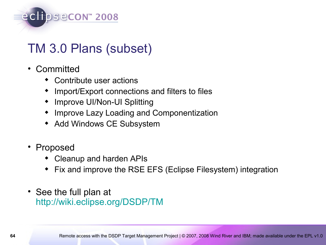

## TM 3.0 Plans (subset)

- Committed
	- Contribute user actions
	- Import/Export connections and filters to files
	- Improve UI/Non-UI Splitting
	- Improve Lazy Loading and Componentization
	- Add Windows CE Subsystem
- Proposed
	- Cleanup and harden APIs
	- Fix and improve the RSE EFS (Eclipse Filesystem) integration
- See the full plan at <http://wiki.eclipse.org/DSDP/TM>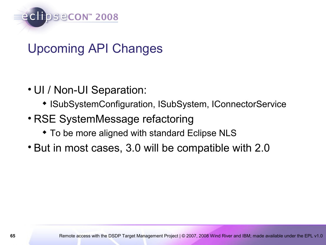

## Upcoming API Changes

- UI / Non-UI Separation:
	- ISubSystemConfiguration, ISubSystem, IConnectorService
- RSE SystemMessage refactoring
	- To be more aligned with standard Eclipse NLS
- But in most cases, 3.0 will be compatible with 2.0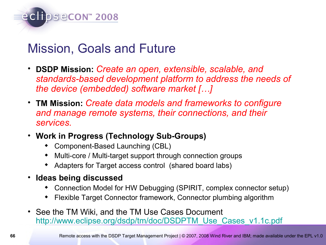

#### Mission, Goals and Future

- **DSDP Mission:** *Create an open, extensible, scalable, and standards-based development platform to address the needs of the device (embedded) software market […]*
- **TM Mission:** *Create data models and frameworks to configure and manage remote systems, their connections, and their services.*
- **Work in Progress (Technology Sub-Groups)**
	- Component-Based Launching (CBL)
	- Multi-core / Multi-target support through connection groups
	- Adapters for Target access control (shared board labs)
- **Ideas being discussed**
	- Connection Model for HW Debugging (SPIRIT, complex connector setup)
	- Flexible Target Connector framework, Connector plumbing algorithm
- See the TM Wiki, and the TM Use Cases Document [http://www.eclipse.org/dsdp/tm/doc/DSDPTM\\_Use\\_Cases\\_v1.1c.pdf](http://www.eclipse.org/dsdp/tm/doc/DSDPTM_Use_Cases_v1.1c.pdf)